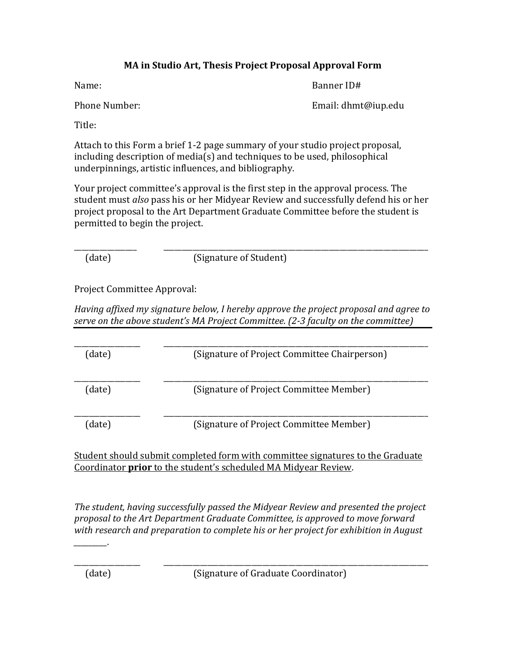## **MA** in Studio Art, Thesis Project Proposal Approval Form

Name: Sample Banner ID#

Phone Number: Email: dhmt@iup.edu

Title: 

Attach to this Form a brief 1-2 page summary of your studio project proposal,  $including description of media(s)$  and techniques to be used, philosophical underpinnings, artistic influences, and bibliography.

Your project committee's approval is the first step in the approval process. The student must *also* pass his or her Midyear Review and successfully defend his or her project proposal to the Art Department Graduate Committee before the student is permitted to begin the project.

\_\_\_\_\_\_\_\_\_\_\_\_\_\_\_\_\_ \_\_\_\_\_\_\_\_\_\_\_\_\_\_\_\_\_\_\_\_\_\_\_\_\_\_\_\_\_\_\_\_\_\_\_\_\_\_\_\_\_\_\_\_\_\_\_\_\_\_\_\_\_\_\_\_\_\_\_\_\_\_\_\_\_\_\_\_\_\_\_\_

(date) (Signature of Student)

Project Committee Approval:

*Having affixed my signature below, I hereby approve the project proposal and agree to* serve on the above student's MA Project Committee. (2-3 faculty on the committee)

| (date) | (Signature of Project Committee Chairperson) |
|--------|----------------------------------------------|
| (date) | (Signature of Project Committee Member)      |
| date)  | (Signature of Project Committee Member)      |

Student should submit completed form with committee signatures to the Graduate Coordinator *prior* to the student's scheduled MA Midyear Review.

*The student, having successfully passed the Midyear Review and presented the project proposal* to the Art Department Graduate Committee, is approved to move forward with research and preparation to complete his or her project for exhibition in August

\_\_\_\_\_\_\_\_\_\_\_\_\_\_\_\_\_\_ \_\_\_\_\_\_\_\_\_\_\_\_\_\_\_\_\_\_\_\_\_\_\_\_\_\_\_\_\_\_\_\_\_\_\_\_\_\_\_\_\_\_\_\_\_\_\_\_\_\_\_\_\_\_\_\_\_\_\_\_\_\_\_\_\_\_\_\_\_\_\_\_

*\_\_\_\_\_\_\_\_\_.*